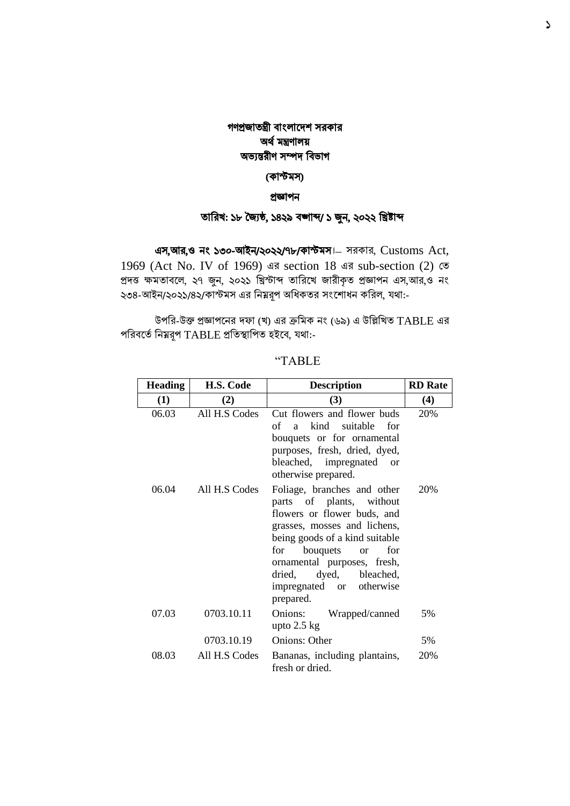## গণপ্রজাতন্ত্রী বাংলাদেশ সরকার অর্থ মন্ত্রণালয় অভ্যন্তরীণ সম্পে ববভ্াগ

### (কাস্টমস)

#### প্রজ্ঞাপন

## তাবরখ: ১৮ জ্যৈষ্ঠ, ১৪২৯ বঙ্গাব্দ/ ১ জুন, ২০২২ বিষ্টাব্দ

এস,আর,ও নাং ১৩০-আইন/২০২২/৭৮/কাস্টমস।– সরকার, Customs Act, 1969 (Act No. IV of 1969) এর section 18 এর sub-section (2) তত প্রদত্ত ক্ষমতাবলে, ২৭ জুন, ২০২১ খ্রিস্টাব্দ তারিখে জারীকৃত প্রজ্ঞাপন এস,আর,ও নং ২৩৪-আইন/২০২১/৪২/কাস্টমস এর বনম্নরূপ অধিকতর সাংদশাধন কবরল, যর্া:-

উপবর-উক্ত প্রজ্ঞাপদনর দফা (খ) এর ক্রবমক নাং (৬৯) এ উবিবখত TABLE এর পরিবর্তে নিম্নরূপ TABLE প্রতিস্থাপিত হইবে, যথা:-

| <b>Heading</b> | H.S. Code     | <b>Description</b>                                                                                                                                                                                                                                                                                       | <b>RD</b> Rate |
|----------------|---------------|----------------------------------------------------------------------------------------------------------------------------------------------------------------------------------------------------------------------------------------------------------------------------------------------------------|----------------|
| (1)            | (2)           | (3)                                                                                                                                                                                                                                                                                                      | (4)            |
| 06.03          | All H.S Codes | Cut flowers and flower buds<br>a kind suitable for<br>of<br>bouquets or for ornamental<br>purposes, fresh, dried, dyed,<br>bleached, impregnated or<br>otherwise prepared.                                                                                                                               | 20%            |
| 06.04          | All H.S Codes | Foliage, branches and other<br>parts of plants, without<br>flowers or flower buds, and<br>grasses, mosses and lichens,<br>being goods of a kind suitable<br>bouquets<br>for<br>for<br><sub>or</sub><br>ornamental purposes, fresh,<br>dyed, bleached,<br>dried,<br>impregnated or otherwise<br>prepared. | 20%            |
| 07.03          | 0703.10.11    | Onions: Wrapped/canned<br>upto $2.5$ kg                                                                                                                                                                                                                                                                  | 5%             |
|                | 0703.10.19    | <b>Onions: Other</b>                                                                                                                                                                                                                                                                                     | 5%             |
| 08.03          | All H.S Codes | Bananas, including plantains,<br>fresh or dried.                                                                                                                                                                                                                                                         | 20%            |

"TABLE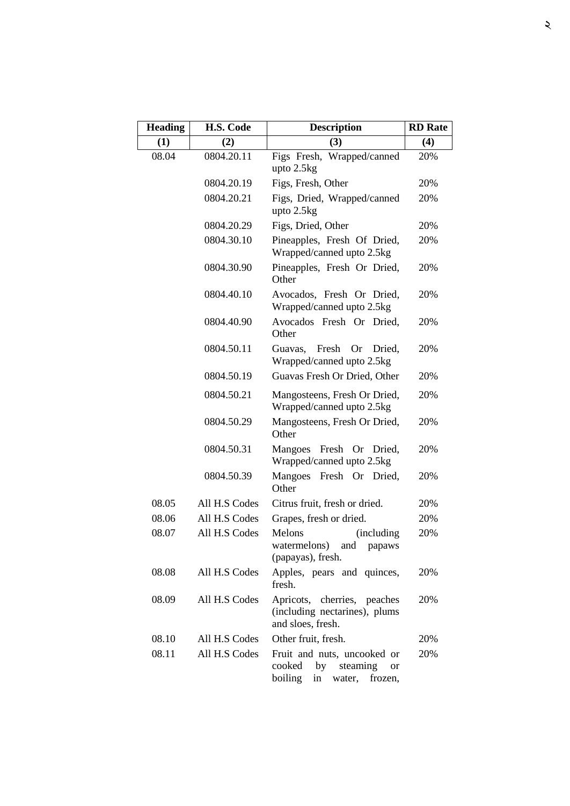| <b>Heading</b> | H.S. Code     | <b>Description</b>                                                                                         | <b>RD</b> Rate |
|----------------|---------------|------------------------------------------------------------------------------------------------------------|----------------|
| (1)            | (2)           | (3)                                                                                                        | (4)            |
| 08.04          | 0804.20.11    | Figs Fresh, Wrapped/canned<br>upto 2.5kg                                                                   | 20%            |
|                | 0804.20.19    | Figs, Fresh, Other                                                                                         | 20%            |
|                | 0804.20.21    | Figs, Dried, Wrapped/canned<br>upto 2.5kg                                                                  | 20%            |
|                | 0804.20.29    | Figs, Dried, Other                                                                                         | 20%            |
|                | 0804.30.10    | Pineapples, Fresh Of Dried,<br>Wrapped/canned upto 2.5kg                                                   | 20%            |
|                | 0804.30.90    | Pineapples, Fresh Or Dried,<br>Other                                                                       | 20%            |
|                | 0804.40.10    | Avocados, Fresh Or Dried,<br>Wrapped/canned upto 2.5kg                                                     | 20%            |
|                | 0804.40.90    | Avocados Fresh Or Dried,<br>Other                                                                          | 20%            |
|                | 0804.50.11    | Fresh<br><b>Or</b><br>Dried.<br>Guavas,<br>Wrapped/canned upto 2.5kg                                       | 20%            |
|                | 0804.50.19    | Guavas Fresh Or Dried, Other                                                                               | 20%            |
|                | 0804.50.21    | Mangosteens, Fresh Or Dried,<br>Wrapped/canned upto 2.5kg                                                  | 20%            |
|                | 0804.50.29    | Mangosteens, Fresh Or Dried,<br>Other                                                                      | 20%            |
|                | 0804.50.31    | Mangoes Fresh<br>Or Dried,<br>Wrapped/canned upto 2.5kg                                                    | 20%            |
|                | 0804.50.39    | Mangoes<br>Fresh Or Dried,<br>Other                                                                        | 20%            |
| 08.05          | All H.S Codes | Citrus fruit, fresh or dried.                                                                              | 20%            |
| 08.06          | All H.S Codes | Grapes, fresh or dried.                                                                                    | 20%            |
| 08.07          | All H.S Codes | Melons<br>(including)<br>watermelons)<br>and<br>papaws<br>(papayas), fresh.                                | 20%            |
| 08.08          | All H.S Codes | Apples, pears and quinces,<br>fresh.                                                                       | 20%            |
| 08.09          | All H.S Codes | Apricots, cherries, peaches<br>(including nectarines), plums<br>and sloes, fresh.                          | 20%            |
| 08.10          | All H.S Codes | Other fruit, fresh.                                                                                        | 20%            |
| 08.11          | All H.S Codes | Fruit and nuts, uncooked or<br>by<br>steaming<br>cooked<br><b>or</b><br>boiling<br>frozen,<br>in<br>water, | 20%            |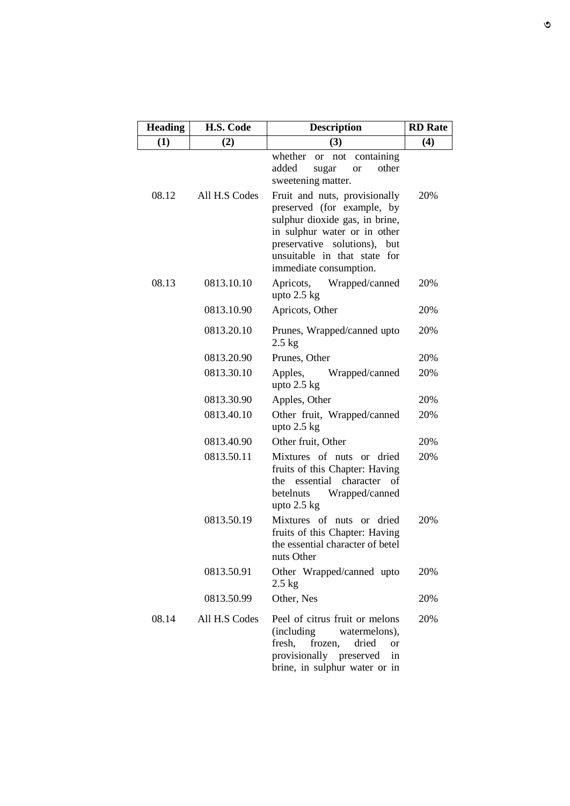| <b>Heading</b> | H.S. Code     | <b>Description</b>                                                                                                                                                                                                      | <b>RD</b> Rate |
|----------------|---------------|-------------------------------------------------------------------------------------------------------------------------------------------------------------------------------------------------------------------------|----------------|
| (1)            | (2)           | (3)                                                                                                                                                                                                                     | (4)            |
|                |               | whether<br>containing<br>not<br><b>or</b><br>added<br>other<br>sugar<br><b>or</b><br>sweetening matter.                                                                                                                 |                |
| 08.12          | All H.S Codes | Fruit and nuts, provisionally<br>preserved (for example, by<br>sulphur dioxide gas, in brine,<br>in sulphur water or in other<br>preservative solutions), but<br>unsuitable in that state for<br>immediate consumption. | 20%            |
| 08.13          | 0813.10.10    | Apricots,<br>Wrapped/canned<br>upto $2.5$ kg                                                                                                                                                                            | 20%            |
|                | 0813.10.90    | Apricots, Other                                                                                                                                                                                                         | 20%            |
|                | 0813.20.10    | Prunes, Wrapped/canned upto<br>$2.5$ kg                                                                                                                                                                                 | 20%            |
|                | 0813.20.90    | Prunes, Other                                                                                                                                                                                                           | 20%            |
|                | 0813.30.10    | Apples,<br>Wrapped/canned<br>upto $2.5$ kg                                                                                                                                                                              | 20%            |
|                | 0813.30.90    | Apples, Other                                                                                                                                                                                                           | 20%            |
|                | 0813.40.10    | Other fruit, Wrapped/canned<br>upto $2.5$ kg                                                                                                                                                                            | 20%            |
|                | 0813.40.90    | Other fruit, Other                                                                                                                                                                                                      | 20%            |
|                | 0813.50.11    | Mixtures of nuts or dried<br>fruits of this Chapter: Having<br>character<br>essential<br>οf<br>the<br>Wrapped/canned<br>betelnuts<br>upto $2.5$ kg                                                                      | 20%            |
|                | 0813.50.19    | Mixtures of nuts or dried<br>fruits of this Chapter: Having<br>the essential character of betel<br>nuts Other                                                                                                           | 20%            |
|                | 0813.50.91    | Other Wrapped/canned upto<br>$2.5$ kg                                                                                                                                                                                   | 20%            |
|                | 0813.50.99    | Other, Nes                                                                                                                                                                                                              | 20%            |
| 08.14          | All H.S Codes | Peel of citrus fruit or melons<br>(including<br>watermelons),<br>fresh,<br>dried<br>frozen,<br>or<br>provisionally preserved<br>in<br>brine, in sulphur water or in                                                     | 20%            |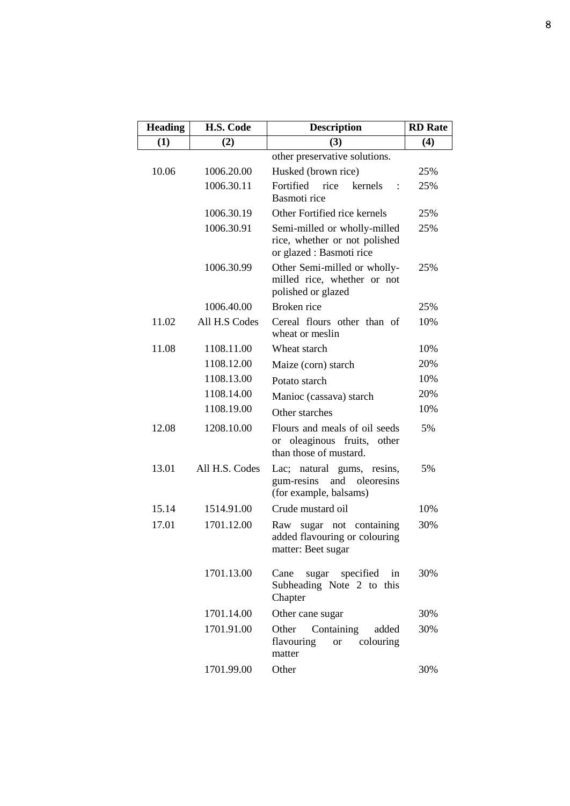| <b>Heading</b> | H.S. Code      | <b>Description</b>                                                                                      | <b>RD</b> Rate |
|----------------|----------------|---------------------------------------------------------------------------------------------------------|----------------|
| (1)            | (2)            | (3)                                                                                                     | (4)            |
|                |                | other preservative solutions.                                                                           |                |
| 10.06          | 1006.20.00     | Husked (brown rice)                                                                                     | 25%            |
|                | 1006.30.11     | Fortified rice<br>kernels<br>Basmoti rice                                                               | 25%            |
|                | 1006.30.19     | Other Fortified rice kernels                                                                            | 25%            |
|                | 1006.30.91     | Semi-milled or wholly-milled<br>rice, whether or not polished<br>or glazed : Basmoti rice               | 25%            |
|                | 1006.30.99     | Other Semi-milled or wholly-<br>milled rice, whether or not<br>polished or glazed                       | 25%            |
|                | 1006.40.00     | Broken rice                                                                                             | 25%            |
| 11.02          | All H.S Codes  | Cereal flours other than of<br>wheat or meslin                                                          | 10%            |
| 11.08          | 1108.11.00     | Wheat starch                                                                                            | 10%            |
|                | 1108.12.00     | Maize (corn) starch                                                                                     | 20%            |
|                | 1108.13.00     | Potato starch                                                                                           | 10%            |
|                | 1108.14.00     | Manioc (cassava) starch                                                                                 | 20%            |
|                | 1108.19.00     | Other starches                                                                                          | 10%            |
| 12.08          | 1208.10.00     | Flours and meals of oil seeds<br>oleaginous fruits,<br>other<br><sub>or</sub><br>than those of mustard. | 5%             |
| 13.01          | All H.S. Codes | Lac; natural gums, resins,<br>gum-resins<br>and<br>oleoresins<br>(for example, balsams)                 | 5%             |
| 15.14          | 1514.91.00     | Crude mustard oil                                                                                       | 10%            |
| 17.01          | 1701.12.00     | containing<br>Raw<br>sugar not<br>added flavouring or colouring<br>matter: Beet sugar                   | 30%            |
|                | 1701.13.00     | specified<br>Cane<br>sugar<br>in<br>Subheading Note 2 to this<br>Chapter                                | 30%            |
|                | 1701.14.00     | Other cane sugar                                                                                        | 30%            |
|                | 1701.91.00     | Other<br>Containing<br>added<br>colouring<br>flavouring<br><b>or</b><br>matter                          | 30%            |
|                | 1701.99.00     | Other                                                                                                   | 30%            |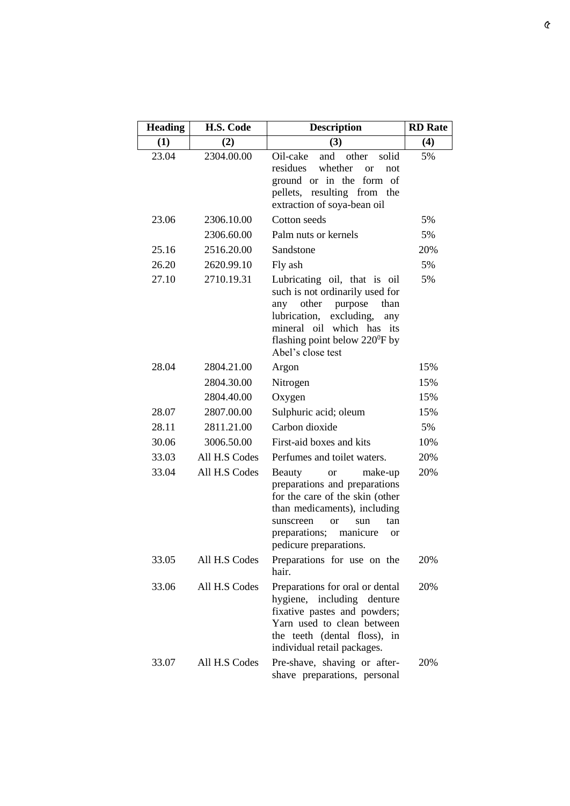| <b>Heading</b> | H.S. Code     | <b>Description</b>                                                                                                                                                                                                                                    | <b>RD</b> Rate |
|----------------|---------------|-------------------------------------------------------------------------------------------------------------------------------------------------------------------------------------------------------------------------------------------------------|----------------|
| (1)            | (2)           | (3)                                                                                                                                                                                                                                                   | (4)            |
| 23.04          | 2304.00.00    | Oil-cake<br>and<br>other<br>solid<br>whether<br>residues<br>$\alpha$<br>not<br>ground or in the<br>form of<br>pellets, resulting from the<br>extraction of soya-bean oil                                                                              | 5%             |
| 23.06          | 2306.10.00    | Cotton seeds                                                                                                                                                                                                                                          | 5%             |
|                | 2306.60.00    | Palm nuts or kernels                                                                                                                                                                                                                                  | 5%             |
| 25.16          | 2516.20.00    | Sandstone                                                                                                                                                                                                                                             | 20%            |
| 26.20          | 2620.99.10    | Fly ash                                                                                                                                                                                                                                               | 5%             |
| 27.10          | 2710.19.31    | Lubricating oil, that is oil<br>such is not ordinarily used for<br>other<br>purpose<br>than<br>any<br>excluding,<br>lubrication,<br>any<br>mineral oil which has its<br>flashing point below $220^{\circ}$ F by<br>Abel's close test                  | 5%             |
| 28.04          | 2804.21.00    | Argon                                                                                                                                                                                                                                                 | 15%            |
|                | 2804.30.00    | Nitrogen                                                                                                                                                                                                                                              | 15%            |
|                | 2804.40.00    | Oxygen                                                                                                                                                                                                                                                | 15%            |
| 28.07          | 2807.00.00    | Sulphuric acid; oleum                                                                                                                                                                                                                                 | 15%            |
| 28.11          | 2811.21.00    | Carbon dioxide                                                                                                                                                                                                                                        | 5%             |
| 30.06          | 3006.50.00    | First-aid boxes and kits                                                                                                                                                                                                                              | 10%            |
| 33.03          | All H.S Codes | Perfumes and toilet waters.                                                                                                                                                                                                                           | 20%            |
| 33.04          | All H.S Codes | <b>Beauty</b><br>make-up<br><b>or</b><br>preparations and preparations<br>for the care of the skin (other<br>than medicaments), including<br>sunscreen<br><b>or</b><br>tan<br>sun<br>preparations;<br>manicure<br><b>or</b><br>pedicure preparations. | 20%            |
| 33.05          | All H.S Codes | Preparations for use on the<br>hair.                                                                                                                                                                                                                  | 20%            |
| 33.06          | All H.S Codes | Preparations for oral or dental<br>hygiene, including denture<br>fixative pastes and powders;<br>Yarn used to clean between<br>the teeth (dental floss), in<br>individual retail packages.                                                            | 20%            |
| 33.07          | All H.S Codes | Pre-shave, shaving or after-<br>shave preparations, personal                                                                                                                                                                                          | 20%            |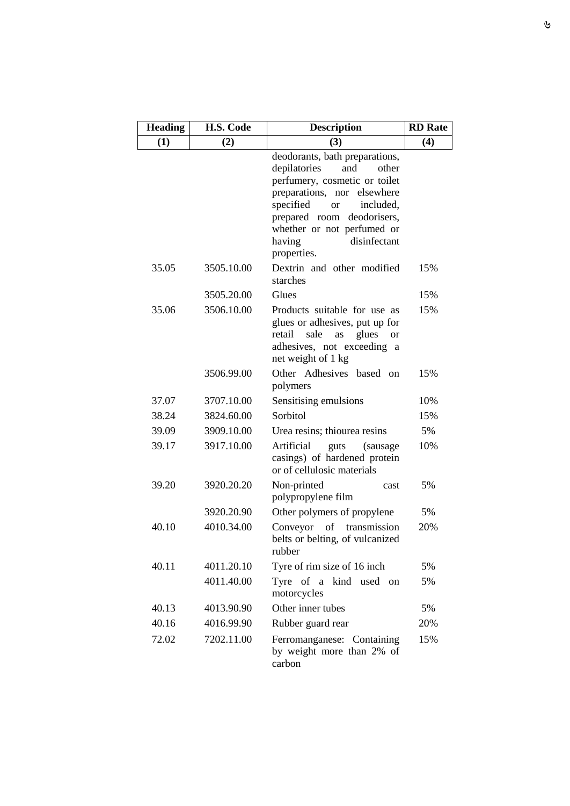| <b>Heading</b> | H.S. Code  | <b>Description</b>                                                                                                                                                                                                                                                            | <b>RD</b> Rate |
|----------------|------------|-------------------------------------------------------------------------------------------------------------------------------------------------------------------------------------------------------------------------------------------------------------------------------|----------------|
| (1)            | (2)        | (3)                                                                                                                                                                                                                                                                           | (4)            |
|                |            | deodorants, bath preparations,<br>depilatories<br>and<br>other<br>perfumery, cosmetic or toilet<br>preparations, nor elsewhere<br>specified<br>included,<br><b>or</b><br>prepared room<br>deodorisers,<br>whether or not perfumed or<br>disinfectant<br>having<br>properties. |                |
| 35.05          | 3505.10.00 | Dextrin and other modified<br>starches                                                                                                                                                                                                                                        | 15%            |
|                | 3505.20.00 | Glues                                                                                                                                                                                                                                                                         | 15%            |
| 35.06          | 3506.10.00 | Products suitable for use as<br>glues or adhesives, put up for<br>retail<br>sale<br>glues<br>as<br><b>or</b><br>adhesives, not exceeding a<br>net weight of 1 kg                                                                                                              | 15%            |
|                | 3506.99.00 | Other Adhesives based on<br>polymers                                                                                                                                                                                                                                          | 15%            |
| 37.07          | 3707.10.00 | Sensitising emulsions                                                                                                                                                                                                                                                         | 10%            |
| 38.24          | 3824.60.00 | Sorbitol                                                                                                                                                                                                                                                                      | 15%            |
| 39.09          | 3909.10.00 | Urea resins; thiourea resins                                                                                                                                                                                                                                                  | 5%             |
| 39.17          | 3917.10.00 | Artificial<br>guts<br>(sausage)<br>casings) of hardened protein<br>or of cellulosic materials                                                                                                                                                                                 | 10%            |
| 39.20          | 3920.20.20 | Non-printed<br>cast<br>polypropylene film                                                                                                                                                                                                                                     | 5%             |
|                | 3920.20.90 | Other polymers of propylene                                                                                                                                                                                                                                                   | 5%             |
| 40.10          | 4010.34.00 | Conveyor<br>of<br>transmission<br>belts or belting, of vulcanized<br>rubber                                                                                                                                                                                                   | 20%            |
| 40.11          | 4011.20.10 | Tyre of rim size of 16 inch                                                                                                                                                                                                                                                   | 5%             |
|                | 4011.40.00 | Tyre of a kind used on<br>motorcycles                                                                                                                                                                                                                                         | 5%             |
| 40.13          | 4013.90.90 | Other inner tubes                                                                                                                                                                                                                                                             | 5%             |
| 40.16          | 4016.99.90 | Rubber guard rear                                                                                                                                                                                                                                                             | 20%            |
| 72.02          | 7202.11.00 | Ferromanganese: Containing<br>by weight more than 2% of<br>carbon                                                                                                                                                                                                             | 15%            |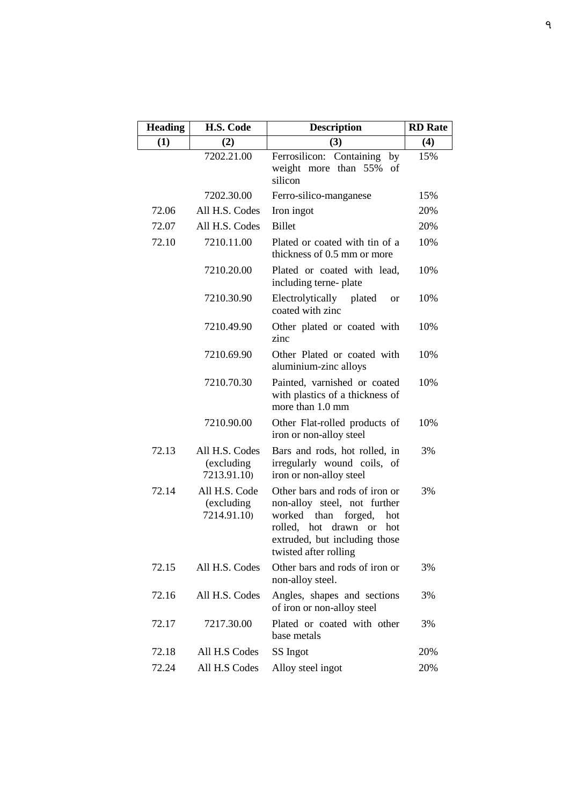| <b>Heading</b> | H.S. Code                                   | <b>Description</b>                                                                                                                                                                                           | <b>RD</b> Rate |
|----------------|---------------------------------------------|--------------------------------------------------------------------------------------------------------------------------------------------------------------------------------------------------------------|----------------|
| (1)            | (2)                                         | (3)                                                                                                                                                                                                          | (4)            |
|                | 7202.21.00                                  | Ferrosilicon:<br>Containing<br>by<br>than 55%<br>weight more<br>of<br>silicon                                                                                                                                | 15%            |
|                | 7202.30.00                                  | Ferro-silico-manganese                                                                                                                                                                                       | 15%            |
| 72.06          | All H.S. Codes                              | Iron ingot                                                                                                                                                                                                   | 20%            |
| 72.07          | All H.S. Codes                              | <b>Billet</b>                                                                                                                                                                                                | 20%            |
| 72.10          | 7210.11.00                                  | Plated or coated with tin of a<br>thickness of 0.5 mm or more                                                                                                                                                | 10%            |
|                | 7210.20.00                                  | Plated or coated with lead,<br>including terne-plate                                                                                                                                                         | 10%            |
|                | 7210.30.90                                  | Electrolytically plated<br><b>or</b><br>coated with zinc                                                                                                                                                     | 10%            |
|                | 7210.49.90                                  | Other plated or coated with<br>zinc                                                                                                                                                                          | 10%            |
|                | 7210.69.90                                  | Other Plated or coated with<br>aluminium-zinc alloys                                                                                                                                                         | 10%            |
|                | 7210.70.30                                  | Painted, varnished or coated<br>with plastics of a thickness of<br>more than 1.0 mm                                                                                                                          | 10%            |
|                | 7210.90.00                                  | Other Flat-rolled products of<br>iron or non-alloy steel                                                                                                                                                     | 10%            |
| 72.13          | All H.S. Codes<br>(excluding<br>7213.91.10) | Bars and rods, hot rolled, in<br>irregularly wound coils, of<br>iron or non-alloy steel                                                                                                                      | 3%             |
| 72.14          | All H.S. Code<br>(excluding<br>7214.91.10)  | Other bars and rods of iron or<br>non-alloy steel, not further<br>worked<br>than<br>forged,<br>hot<br>rolled, hot<br>drawn<br><sub>or</sub><br>hot<br>extruded, but including those<br>twisted after rolling | 3%             |
| 72.15          | All H.S. Codes                              | Other bars and rods of iron or<br>non-alloy steel.                                                                                                                                                           | 3%             |
| 72.16          | All H.S. Codes                              | Angles, shapes and sections<br>of iron or non-alloy steel                                                                                                                                                    | 3%             |
| 72.17          | 7217.30.00                                  | Plated or coated with other<br>base metals                                                                                                                                                                   | 3%             |
| 72.18          | All H.S Codes                               | SS Ingot                                                                                                                                                                                                     | 20%            |
| 72.24          | All H.S Codes                               | Alloy steel ingot                                                                                                                                                                                            | 20%            |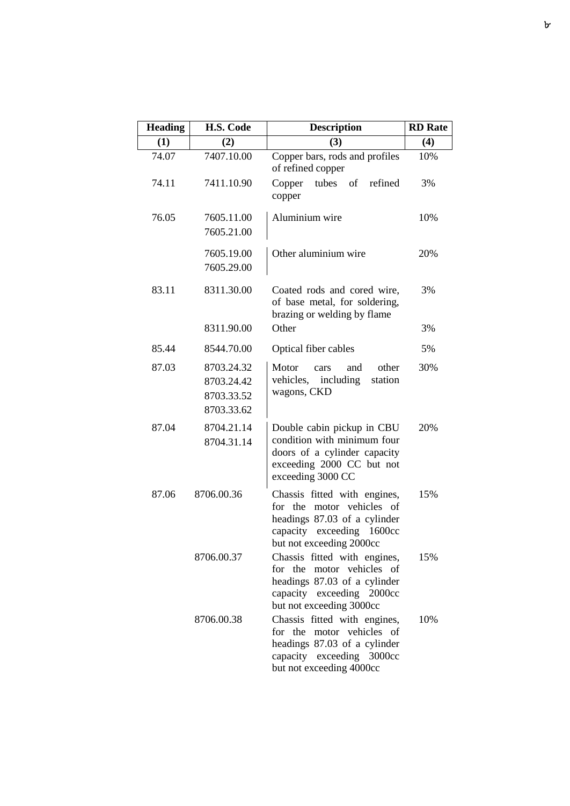| <b>Heading</b> | H.S. Code                                            | <b>Description</b>                                                                                                                                       | <b>RD</b> Rate |
|----------------|------------------------------------------------------|----------------------------------------------------------------------------------------------------------------------------------------------------------|----------------|
| (1)            | (2)                                                  | (3)                                                                                                                                                      | (4)            |
| 74.07          | 7407.10.00                                           | Copper bars, rods and profiles<br>of refined copper                                                                                                      | 10%            |
| 74.11          | 7411.10.90                                           | Copper<br>tubes<br>of<br>refined<br>copper                                                                                                               | 3%             |
| 76.05          | 7605.11.00<br>7605.21.00                             | Aluminium wire                                                                                                                                           | 10%            |
|                | 7605.19.00<br>7605.29.00                             | Other aluminium wire                                                                                                                                     | 20%            |
| 83.11          | 8311.30.00                                           | Coated rods and cored wire,<br>of base metal, for soldering,<br>brazing or welding by flame                                                              | 3%             |
|                | 8311.90.00                                           | Other                                                                                                                                                    | 3%             |
| 85.44          | 8544.70.00                                           | Optical fiber cables                                                                                                                                     | 5%             |
| 87.03          | 8703.24.32<br>8703.24.42<br>8703.33.52<br>8703.33.62 | Motor<br>other<br>and<br>cars<br>including<br>vehicles,<br>station<br>wagons, CKD                                                                        | 30%            |
| 87.04          | 8704.21.14<br>8704.31.14                             | Double cabin pickup in CBU<br>condition with minimum four<br>doors of a cylinder capacity<br>exceeding 2000 CC but not<br>exceeding 3000 CC              | 20%            |
| 87.06          | 8706.00.36                                           | Chassis fitted with engines,<br>motor vehicles of<br>for the<br>headings 87.03 of a cylinder<br>capacity exceeding 1600cc<br>but not exceeding 2000cc    | 15%            |
|                | 8706.00.37                                           | Chassis fitted with engines,<br>motor vehicles of<br>for the<br>headings 87.03 of a cylinder<br>capacity exceeding 2000cc<br>but not exceeding 3000cc    | 15%            |
|                | 8706.00.38                                           | Chassis fitted with engines,<br>motor vehicles of<br>for<br>the<br>headings 87.03 of a cylinder<br>capacity exceeding 3000cc<br>but not exceeding 4000cc | 10%            |